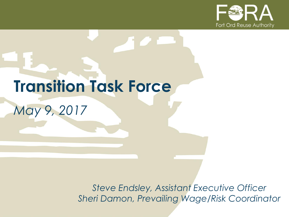

# **Transition Task Force** *May 9, 2017*

*Steve Endsley, Assistant Executive Officer Sheri Damon, Prevailing Wage/Risk Coordinator*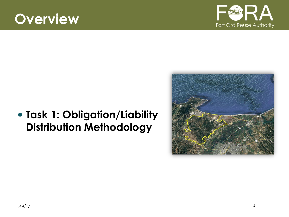# **Overview**



#### **Task 1: Obligation/Liability Distribution Methodology**

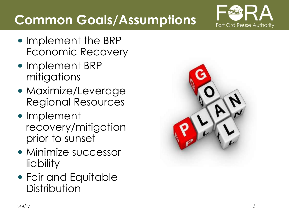

# **Common Goals/Assumptions**

- Implement the BRP Economic Recovery
- Implement BRP mitigations
- Maximize/Leverage Regional Resources
- Implement recovery/mitigation prior to sunset
- Minimize successor liability
- Fair and Equitable **Distribution**

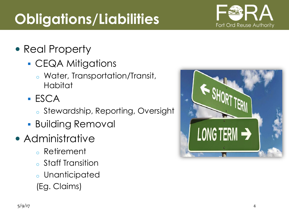# **Obligations/Liabilities**

- Real Property
	- **CEQA Mitigations** 
		- o Water, Transportation/Transit, Habitat
	- ESCA
		- o Stewardship, Reporting, Oversight
	- **Building Removal**
- Administrative
	- o Retirement
	- o Staff Transition
	- o Unanticipated
	- (Eg. Claims)



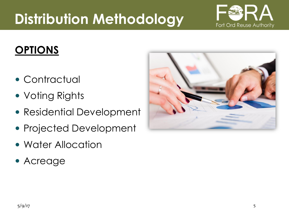# **Distribution Methodology**

### **OPTIONS**

- Contractual
- Voting Rights
- Residential Development
- Projected Development
- Water Allocation
- Acreage



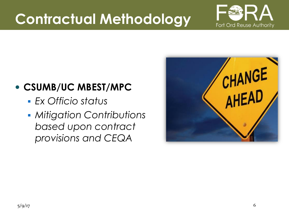# **Contractual Methodology**



#### **CSUMB/UC MBEST/MPC**

- *Ex Officio status*
- *Mitigation Contributions based upon contract provisions and CEQA*

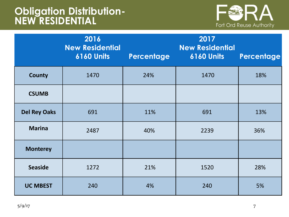#### **Obligation Distribution-NEW RESIDENTIAL**



|                     | 2016<br><b>New Residential</b><br><b>6160 Units</b> | Percentage | 2017<br><b>New Residential</b><br><b>6160 Units</b> | Percentage |
|---------------------|-----------------------------------------------------|------------|-----------------------------------------------------|------------|
| <b>County</b>       | 1470                                                | 24%        | 1470                                                | 18%        |
| <b>CSUMB</b>        |                                                     |            |                                                     |            |
| <b>Del Rey Oaks</b> | 691                                                 | 11%        | 691                                                 | 13%        |
| <b>Marina</b>       | 2487                                                | 40%        | 2239                                                | 36%        |
| <b>Monterey</b>     |                                                     |            |                                                     |            |
| <b>Seaside</b>      | 1272                                                | 21%        | 1520                                                | 28%        |
| <b>UC MBEST</b>     | 240                                                 | 4%         | 240                                                 | 5%         |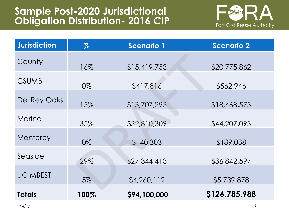

| <b>Jurisdiction</b> | $\%$ | <b>Scenario 1</b> | <b>Scenario 2</b> |
|---------------------|------|-------------------|-------------------|
| County              | 16%  | \$15,419,753      | \$20,775,862      |
| <b>CSUMB</b>        | 0%   | \$417,816         | \$562,946         |
| <b>Del Rey Oaks</b> | 15%  | \$13,707,293      | \$18,468,573      |
| Marina              | 35%  | \$32,810,309      | \$44,207,093      |
| Monterey            | 0%   | \$140,303         | \$189,038         |
| Seaside             | 29%  | \$27,344,413      | \$36,842,597      |
| <b>UC MBEST</b>     | 5%   | \$4,260,112       | \$5,739,878       |
| <b>Totals</b>       | 100% | \$94,100,000      | \$126,785,988     |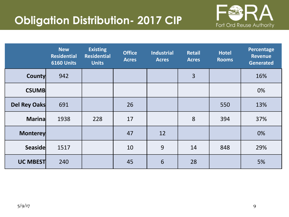#### **Obligation Distribution- 2017 CIP**



|                 | <b>New</b><br><b>Residential</b><br>6160 Units | <b>Existing</b><br><b>Residential</b><br><b>Units</b> | <b>Office</b><br><b>Acres</b> | <b>Industrial</b><br><b>Acres</b> | <b>Retail</b><br><b>Acres</b> | <b>Hotel</b><br><b>Rooms</b> | Percentage<br><b>Revenue</b><br><b>Generated</b> |
|-----------------|------------------------------------------------|-------------------------------------------------------|-------------------------------|-----------------------------------|-------------------------------|------------------------------|--------------------------------------------------|
| <b>County</b>   | 942                                            |                                                       |                               |                                   | $\overline{3}$                |                              | 16%                                              |
| <b>CSUMB</b>    |                                                |                                                       |                               |                                   |                               |                              | 0%                                               |
| Del Rey Oaks    | 691                                            |                                                       | 26                            |                                   |                               | 550                          | 13%                                              |
| <b>Marina</b>   | 1938                                           | 228                                                   | 17                            |                                   | 8                             | 394                          | 37%                                              |
| <b>Monterey</b> |                                                |                                                       | 47                            | 12                                |                               |                              | 0%                                               |
| <b>Seaside</b>  | 1517                                           |                                                       | 10                            | 9                                 | 14                            | 848                          | 29%                                              |
| <b>UC MBEST</b> | 240                                            |                                                       | 45                            | 6                                 | 28                            |                              | 5%                                               |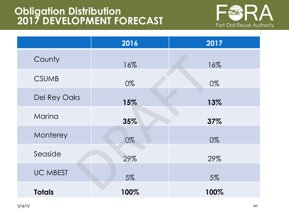#### **Obligation Distribution 2017 DEVELOPMENT FORECAST**



|                 | 2016 | 2017 |
|-----------------|------|------|
| County          | 16%  | 16%  |
| <b>CSUMB</b>    | 0%   | 0%   |
| Del Rey Oaks    | 15%  | 13%  |
| Marina          | 35%  | 37%  |
| Monterey        | 0%   | 0%   |
| Seaside         | 29%  | 29%  |
| <b>UC MBEST</b> | 5%   | 5%   |
| <b>Totals</b>   | 100% | 100% |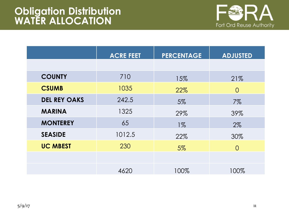

|                     | <b>ACRE FEET</b> | <b>PERCENTAGE</b> | <b>ADJUSTED</b> |
|---------------------|------------------|-------------------|-----------------|
|                     |                  |                   |                 |
| <b>COUNTY</b>       | 710              | 15%               | 21%             |
| <b>CSUMB</b>        | 1035             | 22%               | $\Omega$        |
| <b>DEL REY OAKS</b> | 242.5            | 5%                | $7\%$           |
| <b>MARINA</b>       | 1325             | 29%               | 39%             |
| <b>MONTEREY</b>     | 65               | $1\%$             | 2%              |
| <b>SEASIDE</b>      | 1012.5           | 22%               | 30%             |
| <b>UC MBEST</b>     | 230              | 5%                | $\Omega$        |
|                     |                  |                   |                 |
|                     | 4620             | 100%              | 100%            |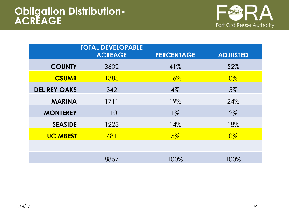

|                     | <b>TOTAL DEVELOPABLE</b><br><b>ACREAGE</b> | <b>PERCENTAGE</b> | <b>ADJUSTED</b> |
|---------------------|--------------------------------------------|-------------------|-----------------|
| <b>COUNTY</b>       | 3602                                       | 41%               | 52%             |
| <b>CSUMB</b>        | 1388                                       | $16\%$            | $0\%$           |
| <b>DEL REY OAKS</b> | 342                                        | $4\%$             | 5%              |
| <b>MARINA</b>       | 1711                                       | 19%               | 24%             |
| <b>MONTEREY</b>     | 110                                        | $1\%$             | 2%              |
| <b>SEASIDE</b>      | 1223                                       | 14%               | 18%             |
| <b>UC MBEST</b>     | 481                                        | $5\%$             | $0\%$           |
|                     |                                            |                   |                 |
|                     | 8857                                       | 100%              | 100%            |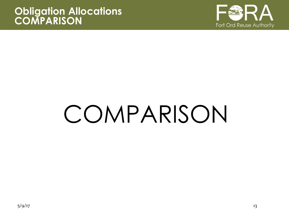

# COMPARISON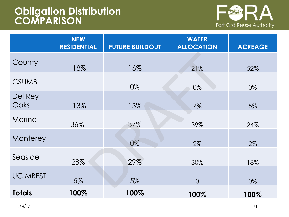#### **Obligation Distribution COMPARISON**



|                 | <b>NEW</b><br><b>RESIDENTIAL</b> | <b>FUTURE BUILDOUT</b> | <b>WATER</b><br><b>ALLOCATION</b> | <b>ACREAGE</b> |
|-----------------|----------------------------------|------------------------|-----------------------------------|----------------|
| County          | 18%                              | 16%                    | 21%                               | 52%            |
| <b>CSUMB</b>    |                                  | 0%                     | 0%                                | 0%             |
| Del Rey<br>Oaks | 13%                              | 13%                    | 7%                                | 5%             |
| Marina          | 36%                              | 37%                    | 39%                               | 24%            |
| Monterey        |                                  | 0%                     | 2%                                | 2%             |
| Seaside         | 28%                              | 29%                    | 30%                               | 18%            |
| <b>UC MBEST</b> | 5%                               | 5%                     | $\overline{O}$                    | 0%             |
| <b>Totals</b>   | 100%                             | 100%                   | 100%                              | 100%           |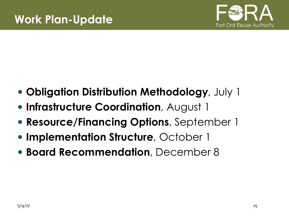

- **Obligation Distribution Methodology**, July 1
- **Infrastructure Coordination**, August 1
- **Resource/Financing Options**, September 1
- **Implementation Structure**, October 1
- **Board Recommendation**, December 8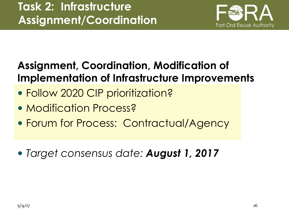

#### **Assignment, Coordination, Modification of Implementation of Infrastructure Improvements**

- Follow 2020 CIP prioritization?
- Modification Process?
- Forum for Process: Contractual/Agency
- *Target consensus date: August 1, 2017*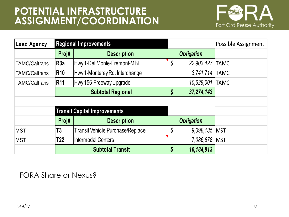#### **POTENTIAL INFRASTRUCTURE ASSIGNMENT/COORDINATION**



| Lead Agency          |                          | <b>Regional Improvements</b>            |    |                   | Possible Assignment |
|----------------------|--------------------------|-----------------------------------------|----|-------------------|---------------------|
|                      | Proj#                    | <b>Description</b>                      |    | <b>Obligation</b> |                     |
| <b>TAMC/Caltrans</b> | R <sub>3</sub> a         | Hwy 1-Del Monte-Fremont-MBL             | \$ | 22,903,427 TAMC   |                     |
| <b>TAMC/Caltrans</b> | <b>R10</b>               | Hwy 1-Monterey Rd. Interchange          |    | 3,741,714 TAMC    |                     |
| <b>TAMC/Caltrans</b> | <b>R11</b>               | Hwy 156-Freeway Upgrade                 |    | 10,629,001        | <b>TAMC</b>         |
|                      | <b>Subtotal Regional</b> |                                         | \$ | 37,274,143        |                     |
|                      |                          |                                         |    |                   |                     |
|                      |                          | <b>Transit Capital Improvements</b>     |    |                   |                     |
|                      | Proj#                    | <b>Description</b>                      |    | <b>Obligation</b> |                     |
| <b>MST</b>           | T3                       | <b>Transit Vehicle Purchase/Replace</b> | \$ | 9,098,135   MST   |                     |
| <b>MST</b>           | T <sub>22</sub>          | <b>Intermodal Centers</b>               |    | 7,086,678   MST   |                     |
|                      |                          | <b>Subtotal Transit</b>                 | \$ | 16,184,813        |                     |

FORA Share or Nexus?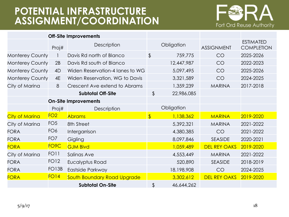#### **POTENTIAL INFRASTRUCTURE ASSIGNMENT/COORDINATION**



|                        |                   | <b>Off-Site Improvements</b>    |               |            |                     |                                       |
|------------------------|-------------------|---------------------------------|---------------|------------|---------------------|---------------------------------------|
|                        | Proj#             | <b>Description</b>              |               | Obligation | <b>ASSIGNMENT</b>   | <b>ESTIMATED</b><br><b>COMPLETION</b> |
| <b>Monterey County</b> |                   | Davis Rd north of Blanco        | $\frac{1}{2}$ | 759,775    | CO                  | 2025-2026                             |
| <b>Monterey County</b> | 2B                | Davis Rd south of Blanco        |               | 12,447,987 | CO                  | 2022-2023                             |
| <b>Monterey County</b> | 4D                | Widen Reservation-4 lanes to WG |               | 5,097,495  | CO                  | 2025-2026                             |
| <b>Monterey County</b> | 4E                | Widen Reservation, WG to Davis  |               | 3,321,589  | CO                  | 2024-2025                             |
| City of Marina         | 8                 | Crescent Ave extend to Abrams   |               | 1,359,239  | <b>MARINA</b>       | 2017-2018                             |
|                        |                   | <b>Subtotal Off-Site</b>        | $\frac{1}{2}$ | 22,986,085 |                     |                                       |
|                        |                   | <b>On-Site Improvements</b>     |               |            |                     |                                       |
|                        | Proj#             | <b>Description</b>              |               | Obligation |                     |                                       |
| City of Marina         | FO <sub>2</sub>   | <b>Abrams</b>                   | $\sqrt[6]{}$  | 1,138,362  | <b>MARINA</b>       | 2019-2020                             |
| City of Marina         | FO <sub>5</sub>   | 8th Street                      |               | 5,392,321  | <b>MARINA</b>       | 2021-2022                             |
| <b>FORA</b>            | FO <sub>6</sub>   | Intergarrison                   |               | 4,380,385  | CO                  | 2021-2022                             |
| <b>FORA</b>            | FO <sub>7</sub>   | Gigling                         |               | 8,097,846  | <b>SEASIDE</b>      | 2020-2021                             |
| <b>FORA</b>            | FO <sub>9</sub> C | <b>GJM Blvd</b>                 |               | 1,059,489  | <b>DEL REY OAKS</b> | 2019-2020                             |
| City of Marina         | FO <sub>1</sub>   | Salinas Ave                     |               | 4,553,449  | <b>MARINA</b>       | 2021-2022                             |
| <b>FORA</b>            | <b>FO12</b>       | Eucalyptus Road                 |               | 520,890    | <b>SEASIDE</b>      | 2018-2019                             |
| <b>FORA</b>            | <b>FO13B</b>      | Eastside Parkway                |               | 18,198,908 | CO                  | 2024-2025                             |
| <b>FORA</b>            | <b>FO14</b>       | South Boundary Road Upgrade     |               | 3,302,612  | <b>DEL REY OAKS</b> | 2019-2020                             |
|                        |                   | <b>Subtotal On-Site</b>         | \$            | 46,644,262 |                     |                                       |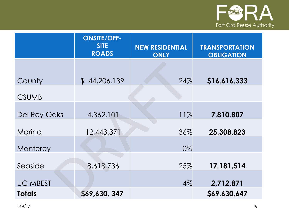

|                     | <b>ONSITE/OFF-</b><br><b>SITE</b><br><b>ROADS</b> | <b>NEW RESIDENTIAL</b><br><b>ONLY</b> | <b>TRANSPORTATION</b><br><b>OBLIGATION</b> |
|---------------------|---------------------------------------------------|---------------------------------------|--------------------------------------------|
|                     |                                                   |                                       |                                            |
| County              | \$44,206,139                                      | 24%                                   | \$16,616,333                               |
| <b>CSUMB</b>        |                                                   |                                       |                                            |
| <b>Del Rey Oaks</b> | 4,362,101                                         | 11%                                   | 7,810,807                                  |
| Marina              | 12,443,371                                        | 36%                                   | 25,308,823                                 |
| Monterey            |                                                   | 0%                                    |                                            |
| Seaside             | 8,618,736                                         | 25%                                   | 17,181,514                                 |
| <b>UC MBEST</b>     |                                                   | 4%                                    | 2,712,871                                  |
| <b>Totals</b>       | \$69,630, 347                                     |                                       | \$69,630,647                               |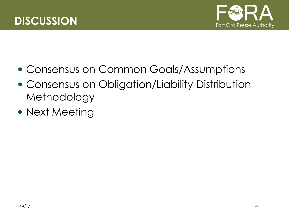



- Consensus on Common Goals/Assumptions
- Consensus on Obligation/Liability Distribution Methodology
- Next Meeting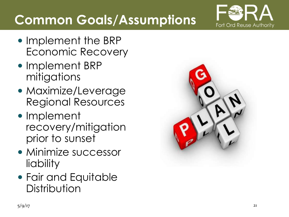

# **Common Goals/Assumptions**

- Implement the BRP Economic Recovery
- Implement BRP mitigations
- Maximize/Leverage Regional Resources
- Implement recovery/mitigation prior to sunset
- Minimize successor liability
- Fair and Equitable **Distribution**

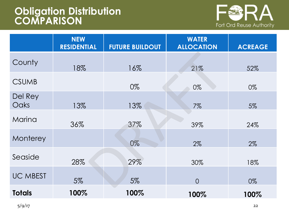#### **Obligation Distribution COMPARISON**



|                 | <b>NEW</b><br><b>RESIDENTIAL</b> | <b>FUTURE BUILDOUT</b> | <b>WATER</b><br><b>ALLOCATION</b> | <b>ACREAGE</b> |
|-----------------|----------------------------------|------------------------|-----------------------------------|----------------|
| County          | 18%                              | 16%                    | 21%                               | 52%            |
| <b>CSUMB</b>    |                                  | 0%                     | 0%                                | 0%             |
| Del Rey<br>Oaks | 13%                              | 13%                    | 7%                                | 5%             |
| Marina          | 36%                              | 37%                    | 39%                               | 24%            |
| Monterey        |                                  | 0%                     | 2%                                | 2%             |
| Seaside         | 28%                              | 29%                    | 30%                               | 18%            |
| <b>UC MBEST</b> | 5%                               | 5%                     | $\overline{O}$                    | 0%             |
| <b>Totals</b>   | 100%                             | 100%                   | 100%                              | 100%           |